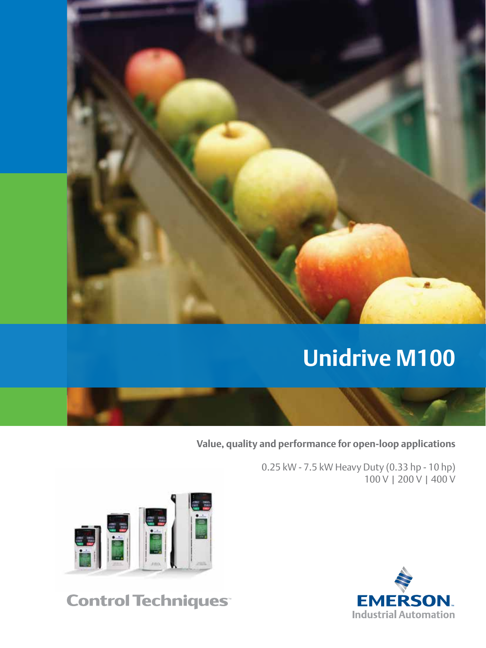

**Value, quality and performance for open-loop applications**

0.25 kW - 7.5 kW Heavy Duty (0.33 hp - 10 hp) 100 V | 200 V | 400 V



# **Control Techniques**

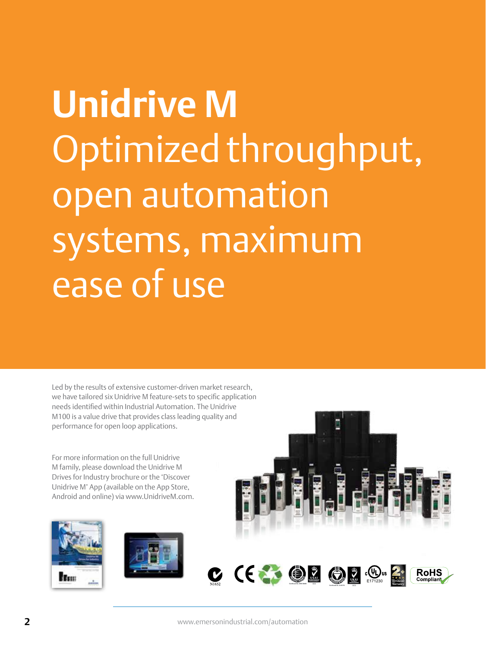# **Unidrive M** Optimized throughput, open automation systems, maximum ease of use

Led by the results of extensive customer-driven market research, we have tailored six Unidrive M feature-sets to specific application needs identified within Industrial Automation. The Unidrive M100 is a value drive that provides class leading quality and performance for open loop applications.

For more information on the full Unidrive M family, please download the Unidrive M Drives for Industry brochure or the 'Discover Unidrive M' App (available on the App Store, Android and online) via www.UnidriveM.com.





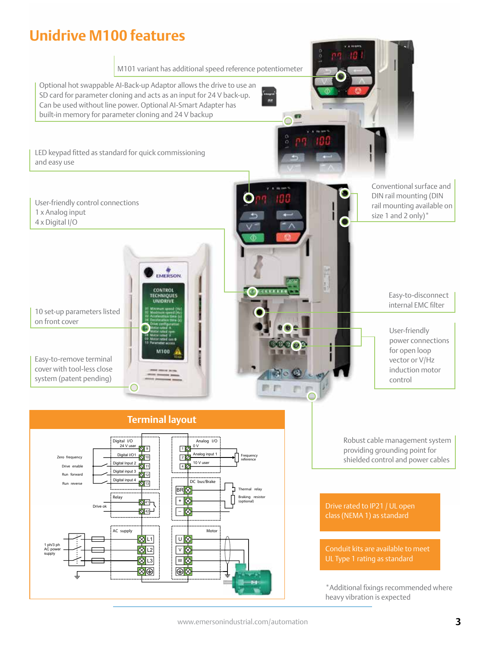## **Unidrive M100 features**

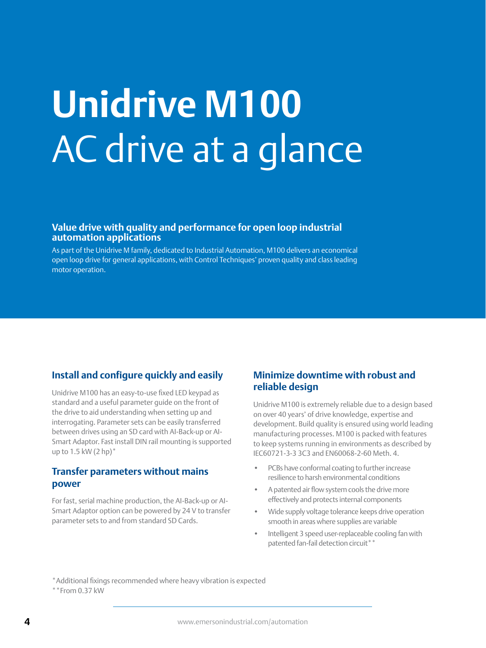# **Unidrive M100** AC drive at a glance

#### **Value drive with quality and performance for open loop industrial automation applications**

As part of the Unidrive M family, dedicated to Industrial Automation, M100 delivers an economical open loop drive for general applications, with Control Techniques' proven quality and class leading motor operation.

## **Install and configure quickly and easily**

Unidrive M100 has an easy-to-use fixed LED keypad as standard and a useful parameter guide on the front of the drive to aid understanding when setting up and interrogating. Parameter sets can be easily transferred between drives using an SD card with AI-Back-up or AI-Smart Adaptor. Fast install DIN rail mounting is supported up to  $1.5$  kW  $(2$  hp) $*$ 

### **Transfer parameters without mains power**

For fast, serial machine production, the AI-Back-up or AI-Smart Adaptor option can be powered by 24 V to transfer parameter sets to and from standard SD Cards.

## **Minimize downtime with robust and reliable design**

Unidrive M100 is extremely reliable due to a design based on over 40 years' of drive knowledge, expertise and development. Build quality is ensured using world leading manufacturing processes. M100 is packed with features to keep systems running in environments as described by IEC60721-3-3 3C3 and EN60068-2-60 Meth. 4.

- PCBs have conformal coating to further increase resilience to harsh environmental conditions
- A patented air flow system cools the drive more effectively and protects internal components
- Wide supply voltage tolerance keeps drive operation smooth in areas where supplies are variable
- Intelligent 3 speed user-replaceable cooling fan with patented fan-fail detection circuit\*\*

\*Additional fixings recommended where heavy vibration is expected

 $**$ From 0.37 kW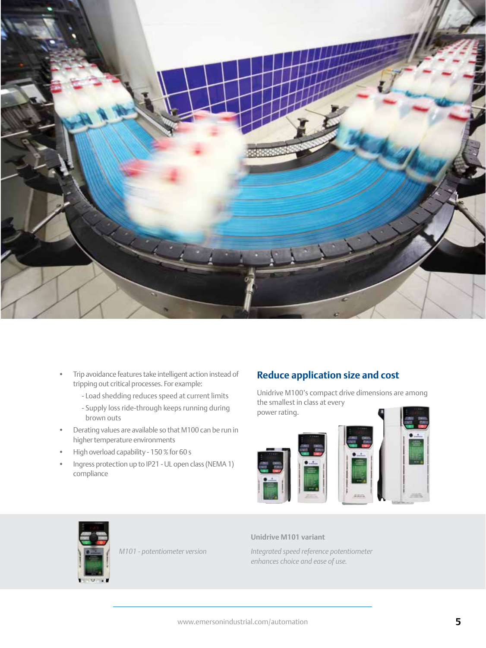

- Trip avoidance features take intelligent action instead of tripping out critical processes. For example:
	- Load shedding reduces speed at current limits
	- Supply loss ride-through keeps running during brown outs
- Derating values are available so that M100 can be run in higher temperature environments
- High overload capability 150 % for 60 s
- Ingress protection up to IP21 UL open class (NEMA 1) compliance

## **Reduce application size and cost**

Unidrive M100's compact drive dimensions are among the smallest in class at every power rating.





*M101 - potentiometer version*

#### **Unidrive M101 variant**

*Integrated speed reference potentiometer enhances choice and ease of use.*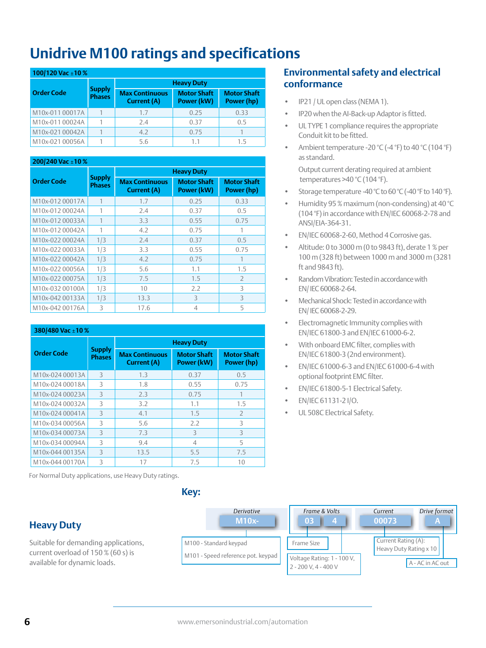## **Unidrive M100 ratings and specifications**

#### **100/120 Vac ±10 %**

|                   |                                | <b>Heavy Duty</b>                           |                                  |                                  |  |
|-------------------|--------------------------------|---------------------------------------------|----------------------------------|----------------------------------|--|
| <b>Order Code</b> | <b>Supply</b><br><b>Phases</b> | <b>Max Continuous</b><br><b>Current (A)</b> | <b>Motor Shaft</b><br>Power (kW) | <b>Motor Shaft</b><br>Power (hp) |  |
| M10x-011 00017A   |                                | 1.7                                         | 0.25                             | 0.33                             |  |
| M10x-011 00024A   |                                | 2.4                                         | 0.37                             | 0.5                              |  |
| M10x-021 00042A   |                                | 4.2                                         | 0.75                             |                                  |  |
| M10x-021 00056A   |                                | 5.6                                         | 11                               | 15                               |  |

### **200/240 Vac ±10 %**

|                   |                                | <b>Heavy Duty</b>                    |                                  |                                  |  |
|-------------------|--------------------------------|--------------------------------------|----------------------------------|----------------------------------|--|
| <b>Order Code</b> | <b>Supply</b><br><b>Phases</b> | <b>Max Continuous</b><br>Current (A) | <b>Motor Shaft</b><br>Power (kW) | <b>Motor Shaft</b><br>Power (hp) |  |
| M10x-012 00017A   |                                | 1.7                                  | 0.25                             | 0.33                             |  |
| M10x-012 00024A   | 1                              | 2.4                                  | 0.37                             | 0.5                              |  |
| M10x-012 00033A   |                                | 3.3                                  | 0.55                             | 0.75                             |  |
| M10x-012 00042A   | 1                              | 4.2                                  | 0.75                             |                                  |  |
| M10x-022 00024A   | 1/3                            | 2.4                                  | 0.37                             | 0.5                              |  |
| M10x-022 00033A   | 1/3                            | 3.3                                  | 0.55                             | 0.75                             |  |
| M10x-022 00042A   | 1/3                            | 4.2                                  | 0.75                             |                                  |  |
| M10x-022 00056A   | 1/3                            | 5.6                                  | 1.1                              | 1.5                              |  |
| M10x-022 00075A   | 1/3                            | 7.5                                  | 1.5                              | $\overline{2}$                   |  |
| M10x-032 00100A   | 1/3                            | 10                                   | 2.2                              | 3                                |  |
| M10x-042 00133A   | 1/3                            | 13.3                                 | 3                                | 3                                |  |
| M10x-042 00176A   | 3                              | 17.6                                 | $\overline{4}$                   | 5                                |  |

#### **380/480 Vac ±10 % Order Code Supply Phases Heavy Duty Max Continuous Current (A) Motor Shaft Power (kW) Motor Shaft Power (hp)** M10x-024 00013A 3 1.3 0.37 0.5 M10x-024 00018A 3 1.8 0.55 0.75  $M10x-0.24\,00023A$  3 2.3 0.75 1 M10x-024 00032A 3 3.2 1.1 1.5  $M10x-024\,00041A$  3 4.1 1.5 2 M10x-034 00056A 3 5.6 2.2 3  $M10x-034\,00073A$  3 7.3 3 3 M10x-034 00094A 3 9.4 4 5 M10x-044 00135A 3 13.5 5.5 7.5 M10x-044 00170A 3 17 17 7.5 10

For Normal Duty applications, use Heavy Duty ratings.

## **Heavy Duty**

Suitable for demanding applications, current overload of 150 % (60 s) is available for dynamic loads.



## **Environmental safety and electrical conformance**

- IP21 / UL open class (NEMA 1).
- IP20 when the AI-Back-up Adaptor is fitted.
- UL TYPE 1 compliance requires the appropriate Conduit kit to be fitted.
- Ambient temperature -20 °C (-4 °F) to 40 °C (104 °F) as standard. Output current derating required at ambient

temperatures >40 °C (104 °F).

- Storage temperature -40 °C to 60 °C (-40 °F to 140 °F).
- Humidity 95 % maximum (non-condensing) at 40 °C (104 °F) in accordance with EN/IEC 60068-2-78 and ANSI/EIA-364-31.
- EN/IEC 60068-2-60, Method 4 Corrosive gas.
- Altitude: 0 to 3000 m (0 to 9843 ft), derate 1 % per 100 m (328 ft) between 1000 m and 3000 m (3281 ft and 9843 ft).
- Random Vibration: Tested in accordance with EN/ IEC 60068-2-64.
- Mechanical Shock: Tested in accordance with EN/ IEC 60068-2-29.
- Electromagnetic Immunity complies with EN/IEC 61800-3 and EN/IEC 61000-6-2.
- With onboard EMC filter, complies with EN/IEC 61800-3 (2nd environment).
- EN/IEC 61000-6-3 and EN/IEC 61000-6-4 with optional footprint EMC filter.
- EN/IEC 61800-5-1 Electrical Safety.
- EN/IEC 61131-2 I/O.
- UL 508C Electrical Safety.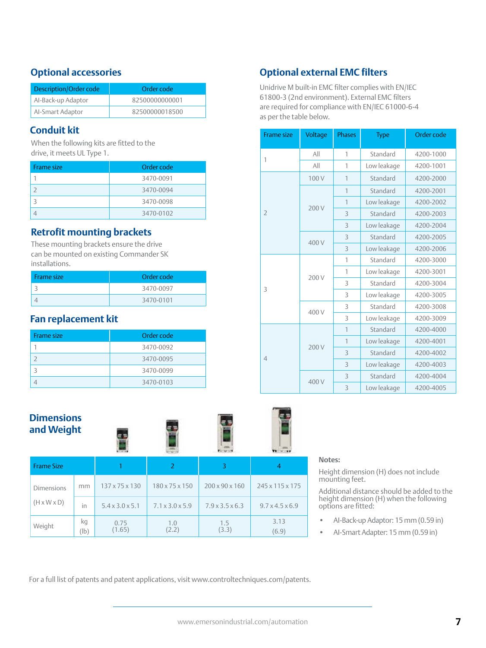## **Optional accessories**

| Description/Order code | Order code     |  |
|------------------------|----------------|--|
| Al-Back-up Adaptor     | 82500000000001 |  |
| Al-Smart Adaptor       | 82500000018500 |  |

## **Conduit kit**

When the following kits are fitted to the drive, it meets UL Type 1.

| <b>Frame size</b> | Order code |
|-------------------|------------|
|                   | 3470-0091  |
|                   | 3470-0094  |
|                   | 3470-0098  |
|                   | 3470-0102  |

## **Retrofit mounting brackets**

These mounting brackets ensure the drive can be mounted on existing Commander SK installations.

| Frame size | Order code |  |
|------------|------------|--|
|            | 3470-0097  |  |
|            | 3470-0101  |  |

## **Fan replacement kit**

| Frame size | Order code |
|------------|------------|
|            | 3470-0092  |
|            | 3470-0095  |
| 3          | 3470-0099  |
|            | 3470-0103  |

## **Dimensions and Weight**

(lb)

(1.65)



(6.9)

#### **Frame Size 1 2 3 4** Dimensions  $(H \times W \times D)$ mm 137 x 75 x 130 180 x 75 x 150 200 x 90 x 160 245 x 115 x 175 in  $5.4 \times 3.0 \times 5.1$  7.1  $\times 3.0 \times 5.9$  7.9  $\times 3.5 \times 6.3$  9.7  $\times 4.5 \times 6.9$ Weight  $\begin{array}{|c|c|c|c|c|}\n\hline\n\text{Weight} & \text{kg} \\
\hline\n\end{array}$ 0.75 1.0 1.5 3.13

(2.2)

#### **Notes:**

Height dimension (H) does not include mounting feet.

Additional distance should be added to the height dimension (H) when the following options are fitted:

- AI-Back-up Adaptor: 15 mm (0.59 in)
- AI-Smart Adapter: 15 mm (0.59 in)

For a full list of patents and patent applications, visit www.controltechniques.com/patents.

**Optional external EMC filters**

61800-3 (2nd environment). External EMC filters are required for compliance with EN/IEC 61000-6-4 as per the table below.

| <b>Frame size</b> | Voltage | <b>Phases</b>  | <b>Type</b> | Order code |
|-------------------|---------|----------------|-------------|------------|
| 1                 | All     | 1              | Standard    | 4200-1000  |
|                   | All     | 1              | Low leakage | 4200-1001  |
|                   | 100V    | 1              | Standard    | 4200-2000  |
|                   |         | 1              | Standard    | 4200-2001  |
|                   |         | 1              | Low leakage | 4200-2002  |
| $\overline{2}$    | 200 V   | 3              | Standard    | 4200-2003  |
|                   |         | 3              | Low leakage | 4200-2004  |
|                   | 400 V   | 3              | Standard    | 4200-2005  |
|                   |         | 3              | Low leakage | 4200-2006  |
|                   | 200 V   | 1              | Standard    | 4200-3000  |
|                   |         | 1              | Low leakage | 4200-3001  |
| 3                 |         | 3              | Standard    | 4200-3004  |
|                   |         | 3              | Low leakage | 4200-3005  |
|                   | 400 V   | 3              | Standard    | 4200-3008  |
|                   |         | 3              | Low leakage | 4200-3009  |
| $\overline{4}$    | 200 V   | $\overline{1}$ | Standard    | 4200-4000  |
|                   |         | $\overline{1}$ | Low leakage | 4200-4001  |
|                   |         | 3              | Standard    | 4200-4002  |
|                   |         | 3              | Low leakage | 4200-4003  |
|                   | 400 V   | 3              | Standard    | 4200-4004  |
|                   |         | 3              | Low leakage | 4200-4005  |

(3.3)